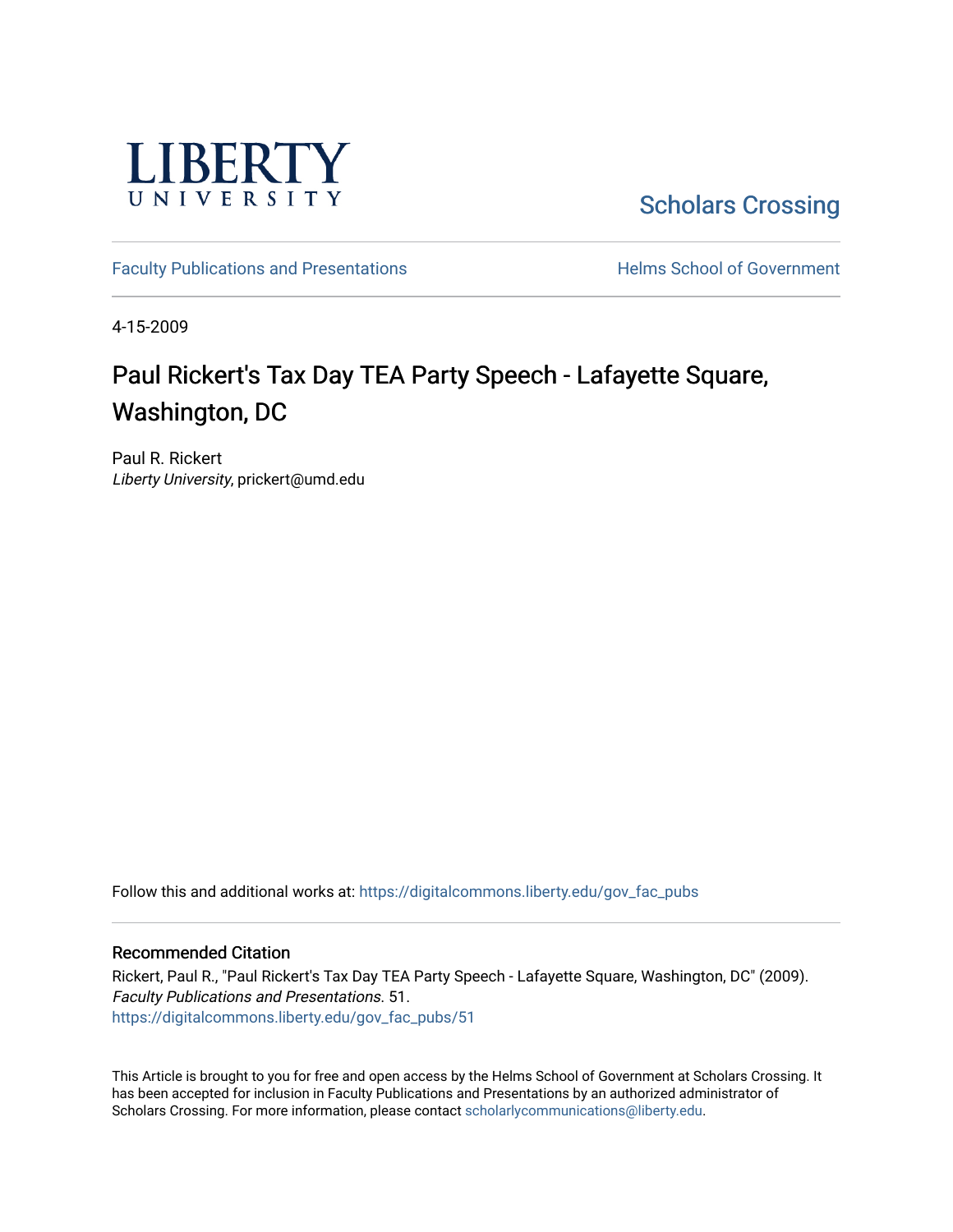

**Scholars Crossing** 

[Faculty Publications and Presentations](https://digitalcommons.liberty.edu/gov_fac_pubs) **Exercise School of Government** 

4-15-2009

# Paul Rickert's Tax Day TEA Party Speech - Lafayette Square, Washington, DC

Paul R. Rickert Liberty University, prickert@umd.edu

Follow this and additional works at: [https://digitalcommons.liberty.edu/gov\\_fac\\_pubs](https://digitalcommons.liberty.edu/gov_fac_pubs?utm_source=digitalcommons.liberty.edu%2Fgov_fac_pubs%2F51&utm_medium=PDF&utm_campaign=PDFCoverPages)

#### Recommended Citation

Rickert, Paul R., "Paul Rickert's Tax Day TEA Party Speech - Lafayette Square, Washington, DC" (2009). Faculty Publications and Presentations. 51. [https://digitalcommons.liberty.edu/gov\\_fac\\_pubs/51](https://digitalcommons.liberty.edu/gov_fac_pubs/51?utm_source=digitalcommons.liberty.edu%2Fgov_fac_pubs%2F51&utm_medium=PDF&utm_campaign=PDFCoverPages) 

This Article is brought to you for free and open access by the Helms School of Government at Scholars Crossing. It has been accepted for inclusion in Faculty Publications and Presentations by an authorized administrator of Scholars Crossing. For more information, please contact [scholarlycommunications@liberty.edu.](mailto:scholarlycommunications@liberty.edu)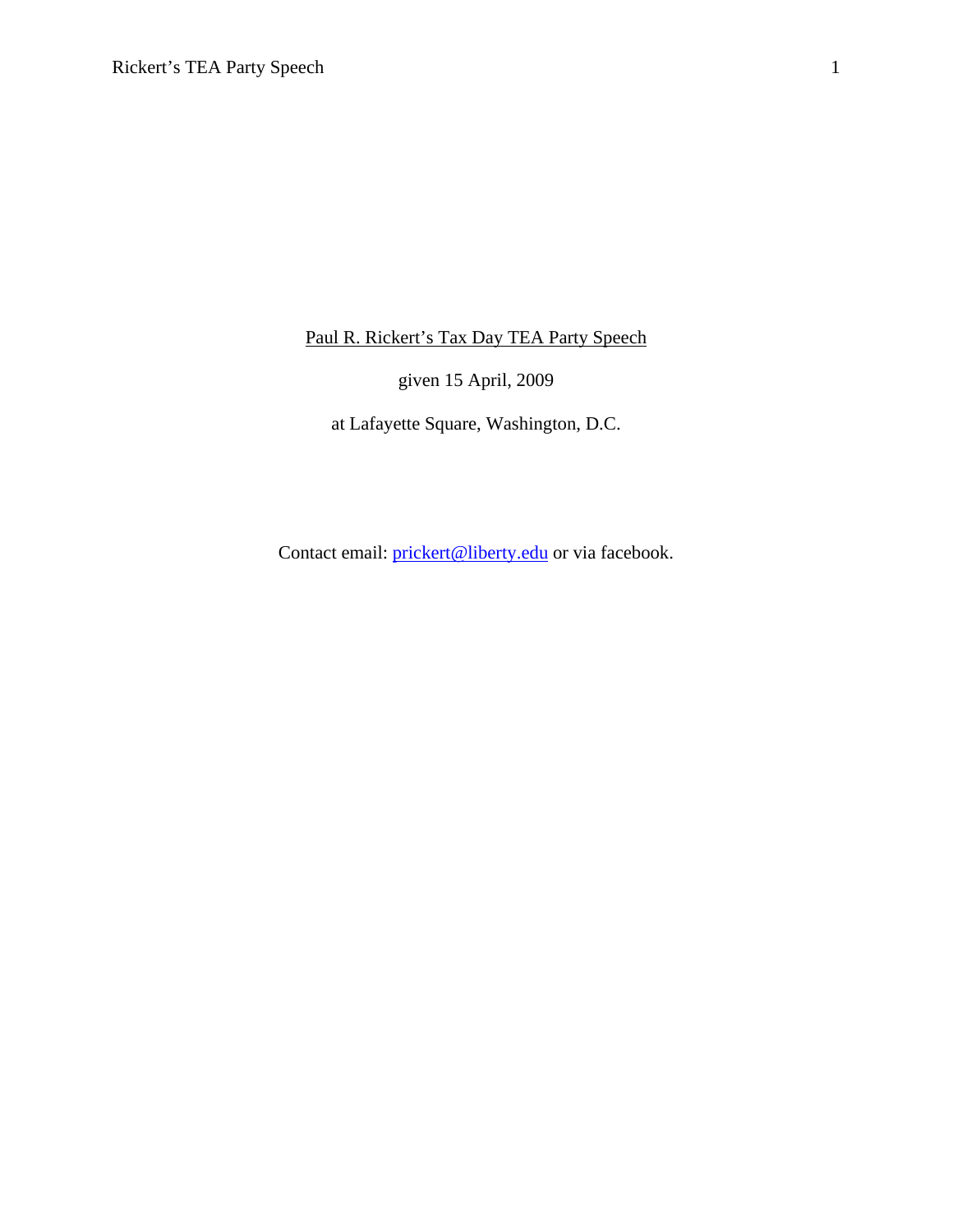Paul R. Rickert's Tax Day TEA Party Speech

given 15 April, 2009

at Lafayette Square, Washington, D.C.

Contact email: prickert@liberty.edu or via facebook.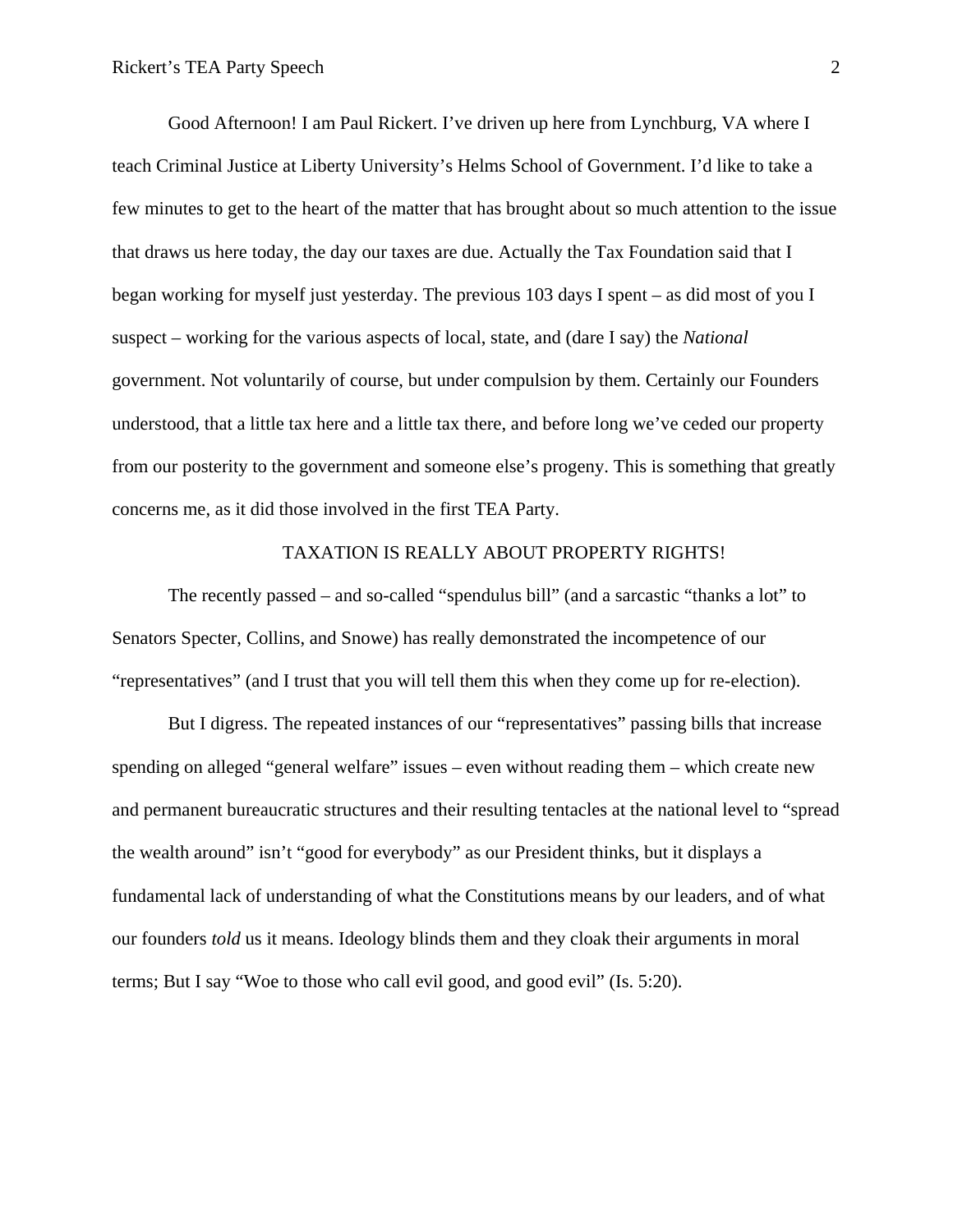Good Afternoon! I am Paul Rickert. I've driven up here from Lynchburg, VA where I teach Criminal Justice at Liberty University's Helms School of Government. I'd like to take a few minutes to get to the heart of the matter that has brought about so much attention to the issue that draws us here today, the day our taxes are due. Actually the Tax Foundation said that I began working for myself just yesterday. The previous 103 days I spent – as did most of you I suspect – working for the various aspects of local, state, and (dare I say) the *National* government. Not voluntarily of course, but under compulsion by them. Certainly our Founders understood, that a little tax here and a little tax there, and before long we've ceded our property from our posterity to the government and someone else's progeny. This is something that greatly concerns me, as it did those involved in the first TEA Party.

### TAXATION IS REALLY ABOUT PROPERTY RIGHTS!

 The recently passed – and so-called "spendulus bill" (and a sarcastic "thanks a lot" to Senators Specter, Collins, and Snowe) has really demonstrated the incompetence of our "representatives" (and I trust that you will tell them this when they come up for re-election).

 But I digress. The repeated instances of our "representatives" passing bills that increase spending on alleged "general welfare" issues – even without reading them – which create new and permanent bureaucratic structures and their resulting tentacles at the national level to "spread the wealth around" isn't "good for everybody" as our President thinks, but it displays a fundamental lack of understanding of what the Constitutions means by our leaders, and of what our founders *told* us it means. Ideology blinds them and they cloak their arguments in moral terms; But I say "Woe to those who call evil good, and good evil" (Is. 5:20).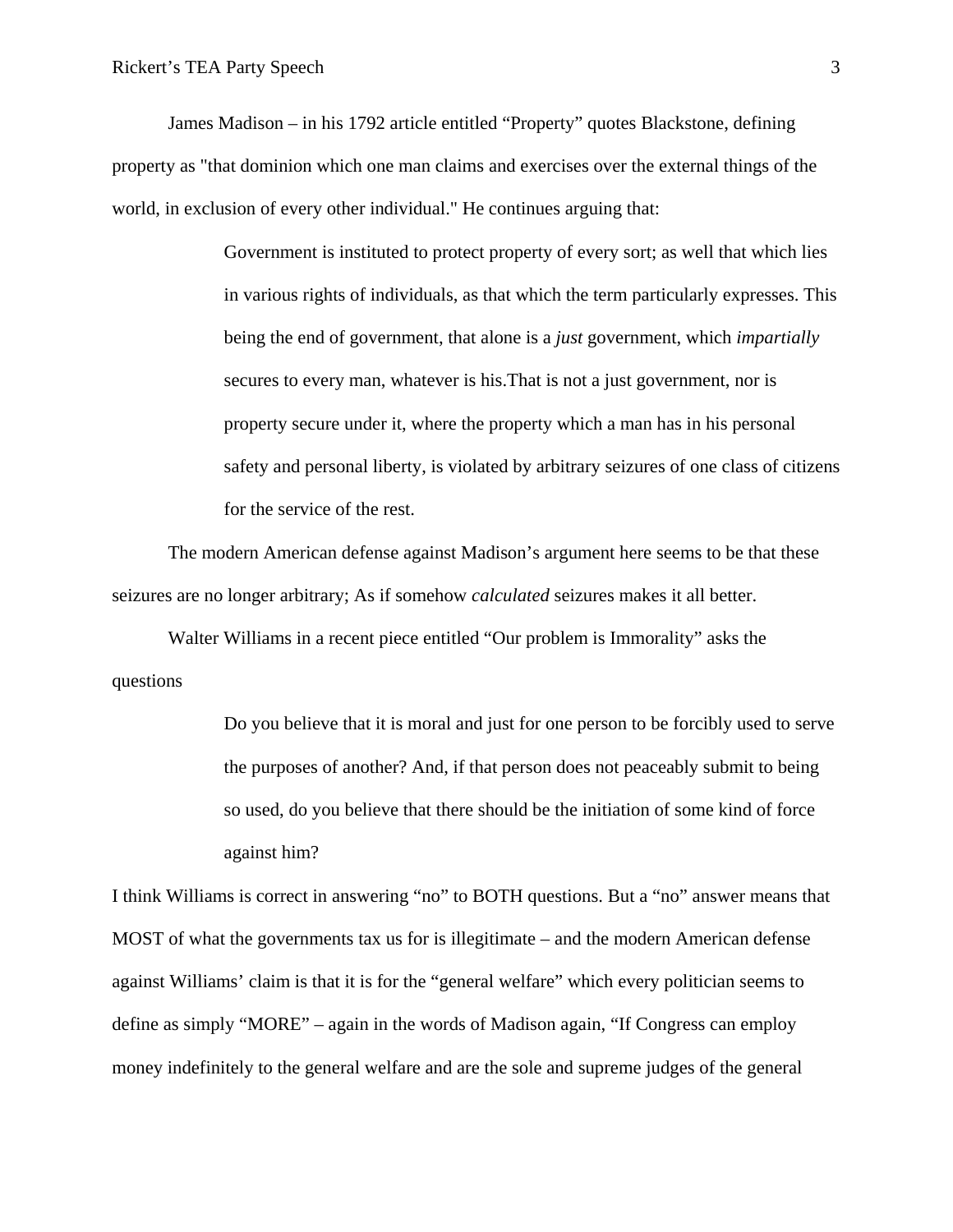James Madison – in his 1792 article entitled "Property" quotes Blackstone, defining property as "that dominion which one man claims and exercises over the external things of the world, in exclusion of every other individual." He continues arguing that:

> Government is instituted to protect property of every sort; as well that which lies in various rights of individuals, as that which the term particularly expresses. This being the end of government, that alone is a *just* government, which *impartially* secures to every man, whatever is his.That is not a just government, nor is property secure under it, where the property which a man has in his personal safety and personal liberty, is violated by arbitrary seizures of one class of citizens for the service of the rest.

The modern American defense against Madison's argument here seems to be that these seizures are no longer arbitrary; As if somehow *calculated* seizures makes it all better.

Walter Williams in a recent piece entitled "Our problem is Immorality" asks the questions

> Do you believe that it is moral and just for one person to be forcibly used to serve the purposes of another? And, if that person does not peaceably submit to being so used, do you believe that there should be the initiation of some kind of force against him?

I think Williams is correct in answering "no" to BOTH questions. But a "no" answer means that MOST of what the governments tax us for is illegitimate – and the modern American defense against Williams' claim is that it is for the "general welfare" which every politician seems to define as simply "MORE" – again in the words of Madison again, "If Congress can employ money indefinitely to the general welfare and are the sole and supreme judges of the general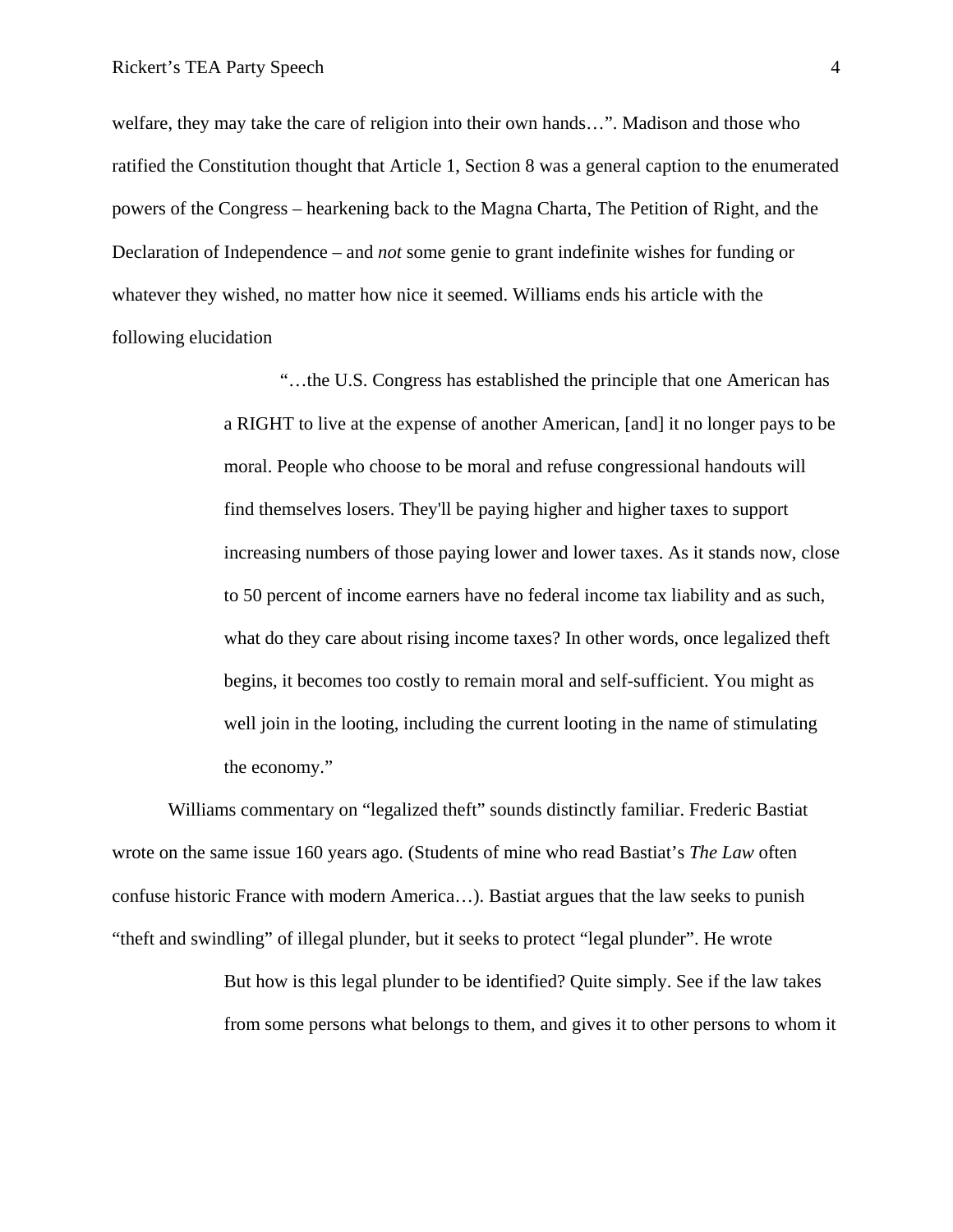welfare, they may take the care of religion into their own hands…". Madison and those who ratified the Constitution thought that Article 1, Section 8 was a general caption to the enumerated powers of the Congress – hearkening back to the Magna Charta, The Petition of Right, and the Declaration of Independence – and *not* some genie to grant indefinite wishes for funding or whatever they wished, no matter how nice it seemed. Williams ends his article with the following elucidation

> "…the U.S. Congress has established the principle that one American has a RIGHT to live at the expense of another American, [and] it no longer pays to be moral. People who choose to be moral and refuse congressional handouts will find themselves losers. They'll be paying higher and higher taxes to support increasing numbers of those paying lower and lower taxes. As it stands now, close to 50 percent of income earners have no federal income tax liability and as such, what do they care about rising income taxes? In other words, once legalized theft begins, it becomes too costly to remain moral and self-sufficient. You might as well join in the looting, including the current looting in the name of stimulating the economy."

Williams commentary on "legalized theft" sounds distinctly familiar. Frederic Bastiat wrote on the same issue 160 years ago. (Students of mine who read Bastiat's *The Law* often confuse historic France with modern America…). Bastiat argues that the law seeks to punish "theft and swindling" of illegal plunder, but it seeks to protect "legal plunder". He wrote

> But how is this legal plunder to be identified? Quite simply. See if the law takes from some persons what belongs to them, and gives it to other persons to whom it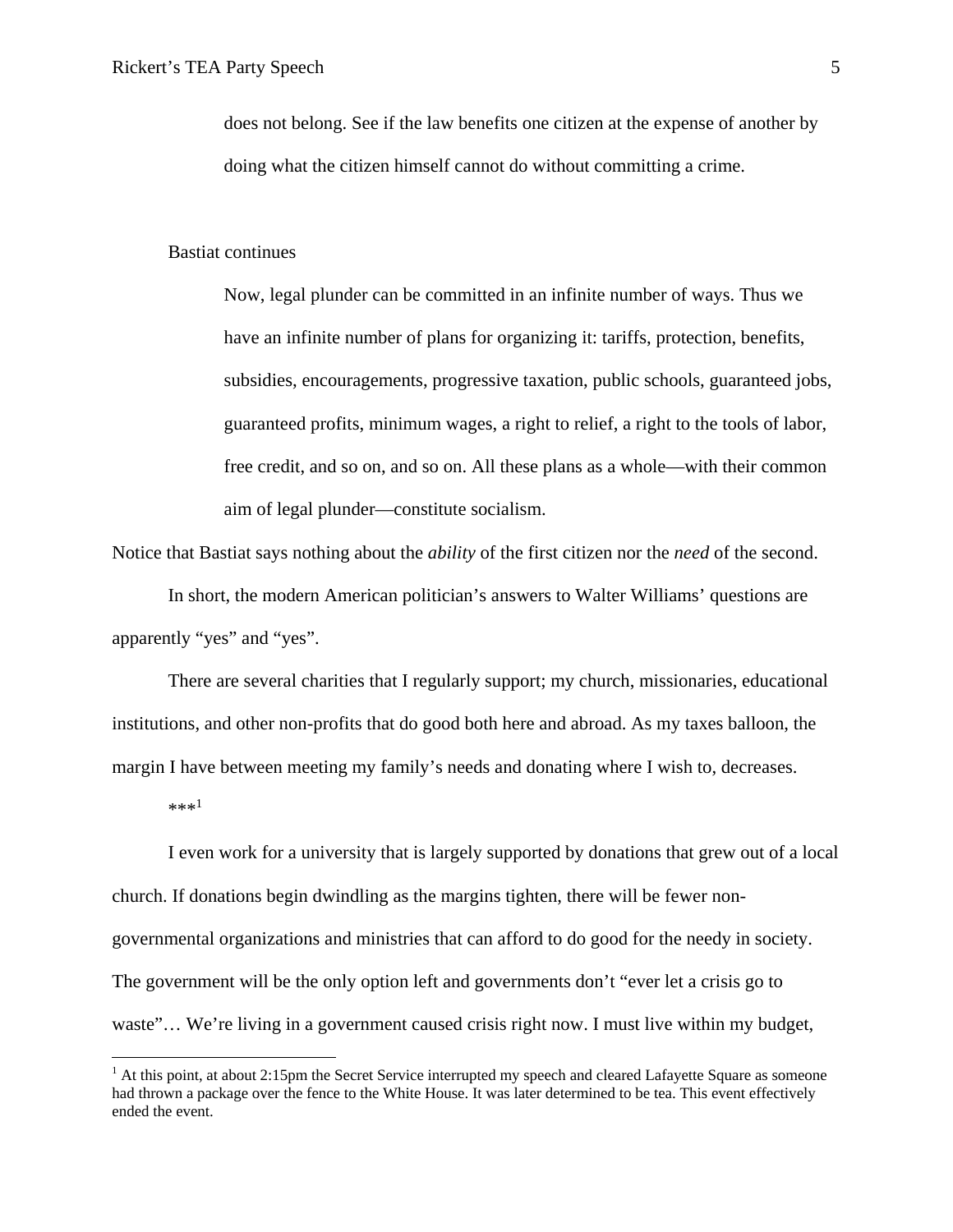does not belong. See if the law benefits one citizen at the expense of another by doing what the citizen himself cannot do without committing a crime.

#### Bastiat continues

Now, legal plunder can be committed in an infinite number of ways. Thus we have an infinite number of plans for organizing it: tariffs, protection, benefits, subsidies, encouragements, progressive taxation, public schools, guaranteed jobs, guaranteed profits, minimum wages, a right to relief, a right to the tools of labor, free credit, and so on, and so on. All these plans as a whole—with their common aim of legal plunder—constitute socialism.

Notice that Bastiat says nothing about the *ability* of the first citizen nor the *need* of the second.

In short, the modern American politician's answers to Walter Williams' questions are apparently "yes" and "yes".

There are several charities that I regularly support; my church, missionaries, educational institutions, and other non-profits that do good both here and abroad. As my taxes balloon, the margin I have between meeting my family's needs and donating where I wish to, decreases.

 $***^1$ 

 $\overline{a}$ 

I even work for a university that is largely supported by donations that grew out of a local church. If donations begin dwindling as the margins tighten, there will be fewer nongovernmental organizations and ministries that can afford to do good for the needy in society. The government will be the only option left and governments don't "ever let a crisis go to waste"... We're living in a government caused crisis right now. I must live within my budget,

 $<sup>1</sup>$  At this point, at about 2:15pm the Secret Service interrupted my speech and cleared Lafayette Square as someone</sup> had thrown a package over the fence to the White House. It was later determined to be tea. This event effectively ended the event.